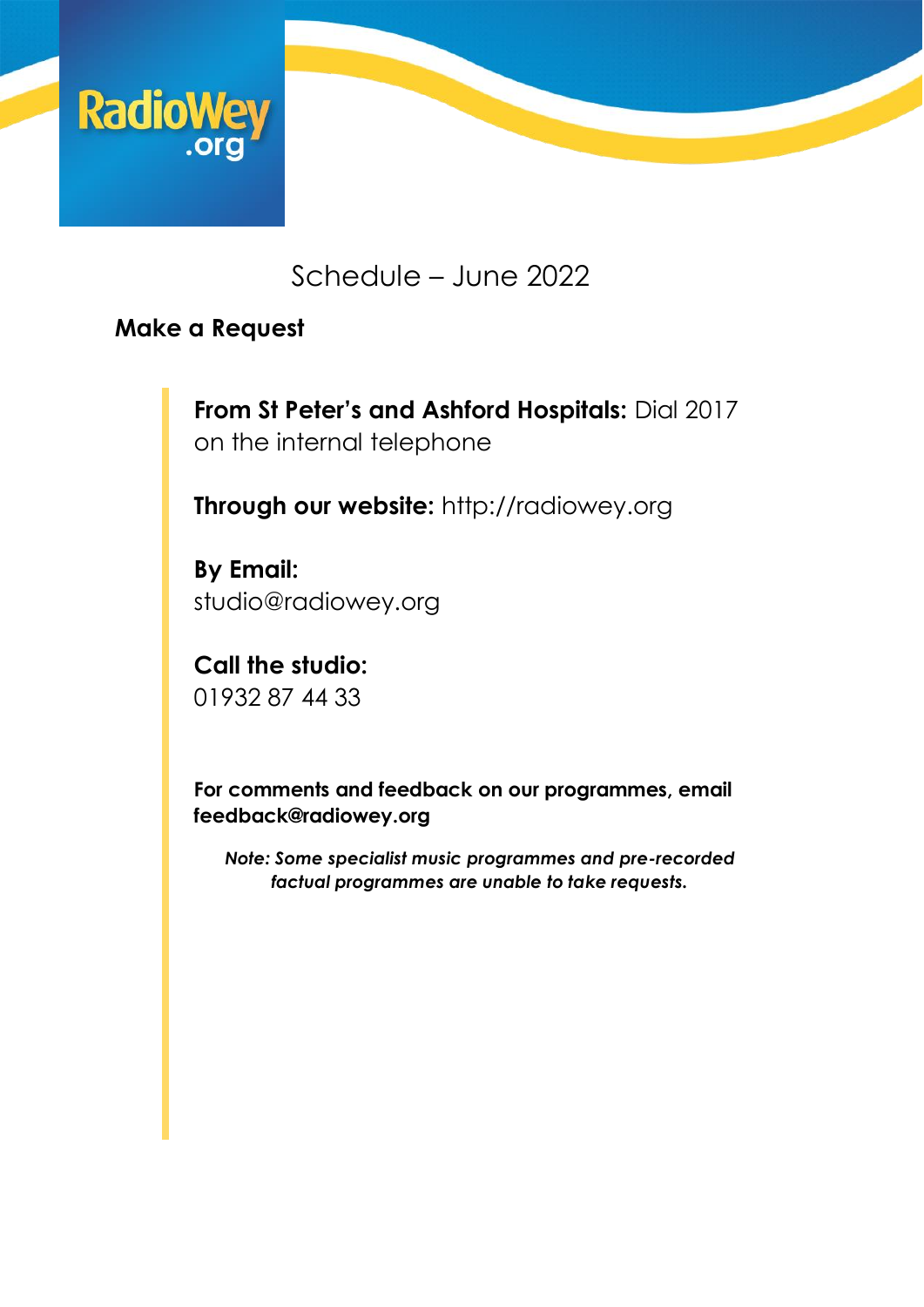

## Schedule – June 2022

### **Make a Request**

**From St Peter's and Ashford Hospitals:** Dial 2017 on the internal telephone

**Through our website:** [http://radiowey.org](http://radiowey.org/)

**By Email:**  [studio@radiowey.org](mailto:studio@radiowey.org)

**Call the studio:** 01932 87 44 33

**For comments and feedback on our programmes, email feedback@radiowey.org**

*Note: Some specialist music programmes and pre-recorded factual programmes are unable to take requests.*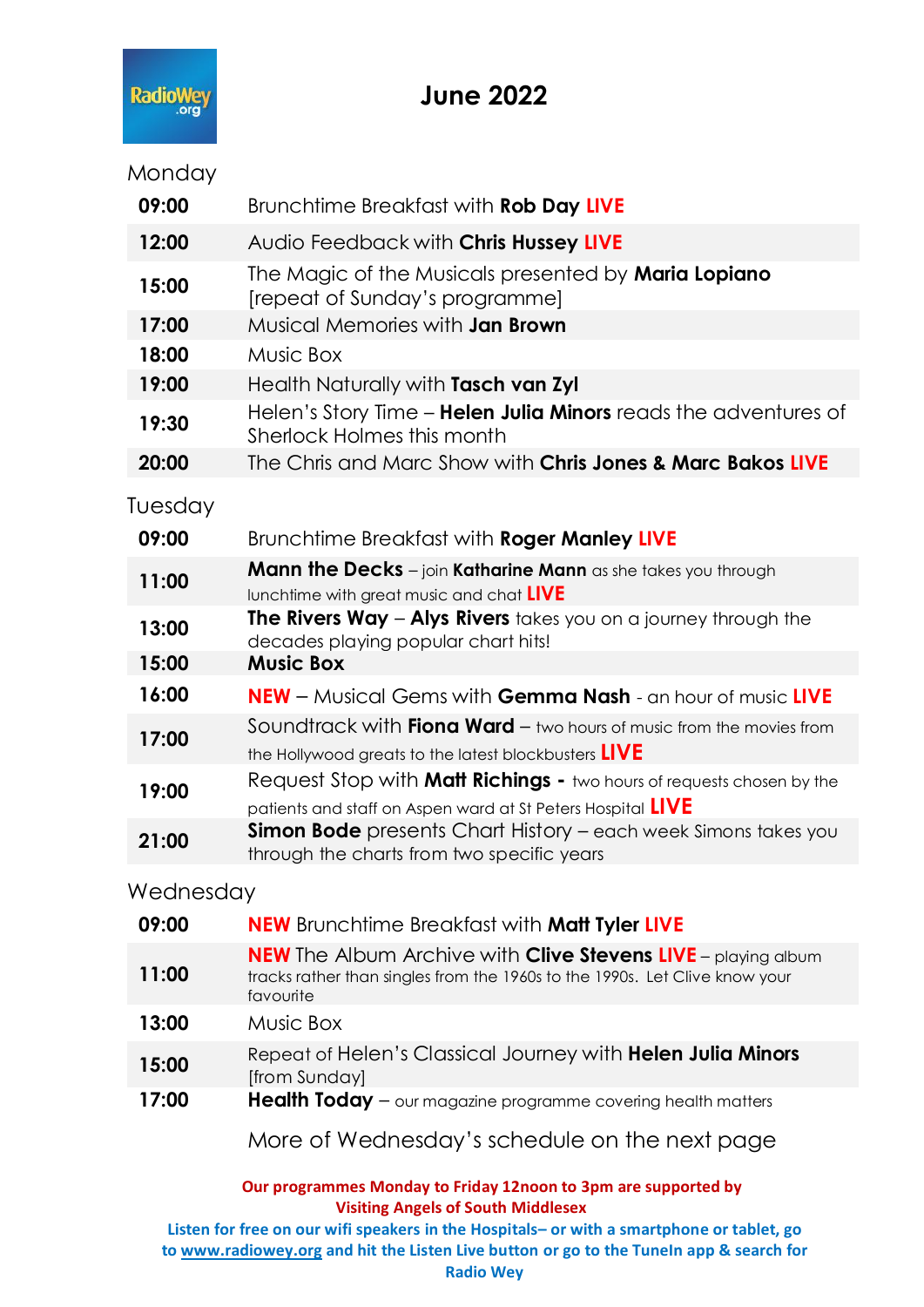

### **June 2022**

#### Monday

| 09:00            | Brunchtime Breakfast with Rob Day LIVE                                                                                                      |
|------------------|---------------------------------------------------------------------------------------------------------------------------------------------|
| 12:00            | Audio Feedback with Chris Hussey LIVE                                                                                                       |
| 15:00            | The Magic of the Musicals presented by <b>Maria Lopiano</b><br>[repeat of Sunday's programme]                                               |
| 17:00            | Musical Memories with <b>Jan Brown</b>                                                                                                      |
| 18:00            | Music Box                                                                                                                                   |
| 19:00            | Health Naturally with Tasch van Zyl                                                                                                         |
| 19:30            | Helen's Story Time - Helen Julia Minors reads the adventures of<br>Sherlock Holmes this month                                               |
| 20:00            | The Chris and Marc Show with <b>Chris Jones &amp; Marc Bakos LIVE</b>                                                                       |
| Tuesday<br>09:00 | Brunchtime Breakfast with Roger Manley LIVE                                                                                                 |
|                  | <b>Mann the Decks</b> $-$ join <b>Katharine Mann</b> as she takes you through                                                               |
| 11:00            | lunchtime with great music and chat LIVE                                                                                                    |
| 13:00            | <b>The Rivers Way - Alys Rivers</b> takes you on a journey through the<br>decades playing popular chart hits!                               |
| 15:00            | <b>Music Box</b>                                                                                                                            |
| 16:00            | <b>NEW</b> – Musical Gems with <b>Gemma Nash</b> - an hour of music LIVE                                                                    |
| 17:00            | Soundtrack with <b>Fiona Ward</b> $-$ two hours of music from the movies from<br>the Hollywood greats to the latest blockbusters LIVE       |
| 19:00            | Request Stop with <b>Matt Richings -</b> two hours of requests chosen by the<br>patients and staff on Aspen ward at St Peters Hospital LIVE |
| 21:00            | Simon Bode presents Chart History - each week Simons takes you<br>through the charts from two specific years                                |
|                  |                                                                                                                                             |

#### Wednesday

| 09:00 | <b>NEW</b> Brunchtime Breakfast with <b>Matt Tyler LIVE</b>                                                                                                             |
|-------|-------------------------------------------------------------------------------------------------------------------------------------------------------------------------|
| 11:00 | <b>NEW</b> The Album Archive with <b>Clive Stevens LIVE</b> – playing album<br>tracks rather than singles from the 1960s to the 1990s. Let Clive know your<br>favourite |
| 13:00 | Music Box                                                                                                                                                               |
| 15:00 | Repeat of Helen's Classical Journey with Helen Julia Minors<br>[from Sunday]                                                                                            |
| 17:00 | <b>Health Today</b> $-$ our magazine programme covering health matters                                                                                                  |
|       | More of Wednesday's schedule on the next page                                                                                                                           |
|       |                                                                                                                                                                         |

**Our programmes Monday to Friday 12noon to 3pm are supported by Visiting Angels of South Middlesex**

**Listen for free on our wifi speakers in the Hospitals– or with a smartphone or tablet, go t[o www.radiowey.org](http://www.radiowey.org/) and hit the Listen Live button or go to the TuneIn app & search for Radio Wey**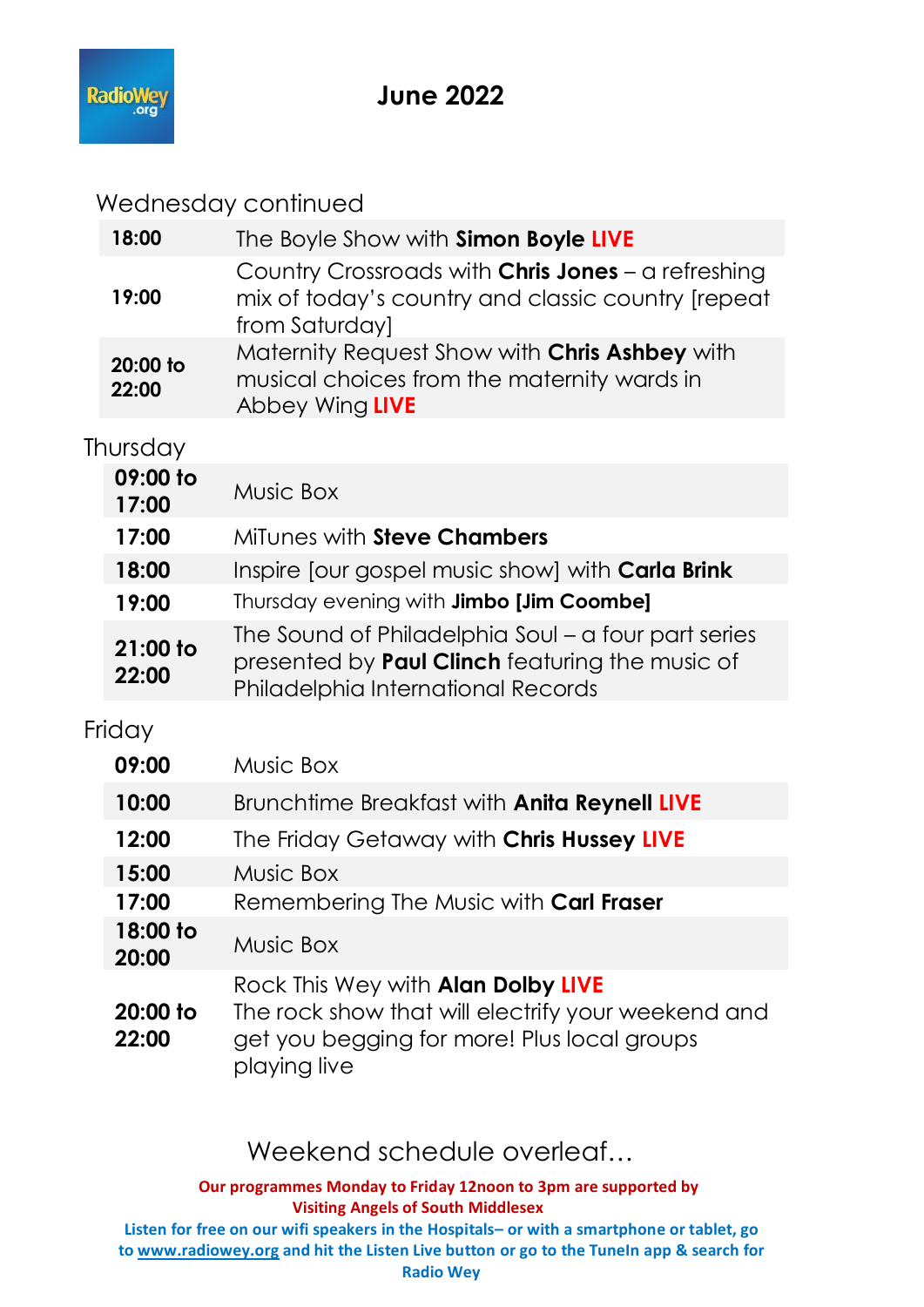

# **June 2022**

Wednesday continued

| 18:00               | The Boyle Show with Simon Boyle LIVE                                                                                                                |
|---------------------|-----------------------------------------------------------------------------------------------------------------------------------------------------|
| 19:00               | Country Crossroads with Chris Jones - a refreshing<br>mix of today's country and classic country [repeat<br>from Saturday]                          |
| 20:00 to<br>22:00   | Maternity Request Show with Chris Ashbey with<br>musical choices from the maternity wards in<br>Abbey Wing LIVE                                     |
| Thursday            |                                                                                                                                                     |
| 09:00 to<br>17:00   | Music Box                                                                                                                                           |
| 17:00               | MiTunes with <b>Steve Chambers</b>                                                                                                                  |
| 18:00               | Inspire [our gospel music show] with Carla Brink                                                                                                    |
| 19:00               | Thursday evening with Jimbo [Jim Coombe]                                                                                                            |
| 21:00 to<br>22:00   | The Sound of Philadelphia Soul – a four part series<br>presented by <b>Paul Clinch</b> featuring the music of<br>Philadelphia International Records |
| Friday              |                                                                                                                                                     |
| 09:00               | Music Box                                                                                                                                           |
| 10:00               | Brunchtime Breakfast with Anita Reynell LIVE                                                                                                        |
| 12:00               | The Friday Getaway with Chris Hussey LIVE                                                                                                           |
| 15:00               | Music Box                                                                                                                                           |
| 17:00               | Remembering The Music with Carl Fraser                                                                                                              |
| 18:00 to<br>20:00   | Music Box                                                                                                                                           |
| $20:00$ to<br>22:00 | Rock This Wey with Alan Dolby LIVE<br>The rock show that will electrify your weekend and<br>get you begging for more! Plus local groups             |

Weekend schedule overleaf...

playing live

**Our programmes Monday to Friday 12noon to 3pm are supported by Visiting Angels of South Middlesex**

**Listen for free on our wifi speakers in the Hospitals– or with a smartphone or tablet, go to [www.radiowey.org](http://www.radiowey.org/) and hit the Listen Live button or go to the TuneIn app & search for Radio Wey**